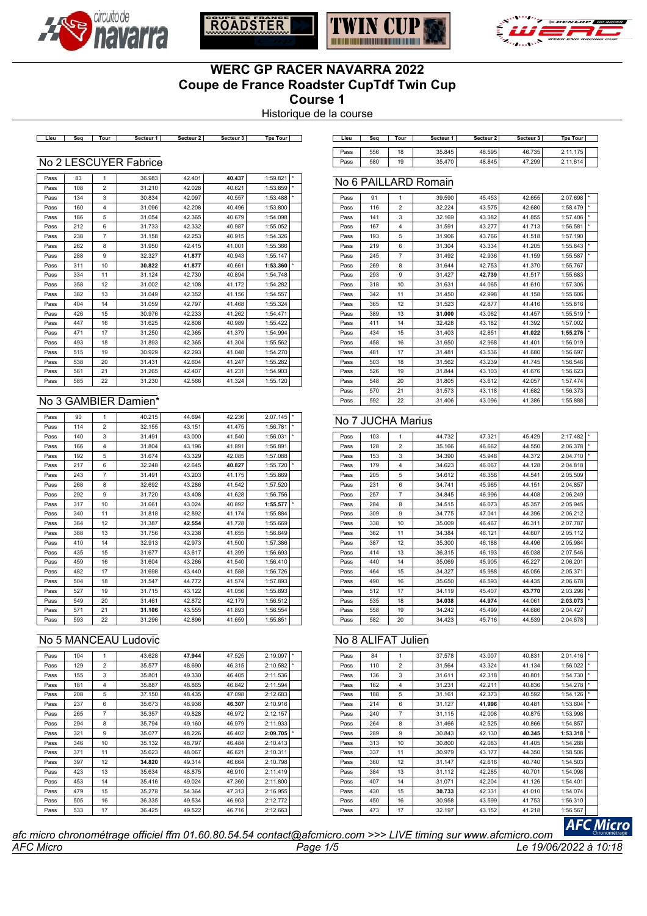





No 6 PAILLARD Romain



# **WERC GP RACER NAVARRA 2022 Coupe de France Roadster CupTdf Twin Cup Course 1**

Historique de la course

**Lieu Seq Tour Secteur 1 Secteur 2 Secteur 3 Tps Tour Lieu Seq Tour Secteur 1 Secteur 2 Secteur 3 Tps Tour**

| Lieu | Sea | Tour | Secteur 1 | Secteur 2 | Secteur 3 | <b>Tps Tour</b> |  |
|------|-----|------|-----------|-----------|-----------|-----------------|--|
| Pass | 556 | 18   | 35.845    | 48.595    | 46.735    | 2:11.175        |  |
| Pass | 580 | 19   | 35.470    | 48.845    | 47.299    | 2:11.614        |  |

#### No 2 LESCUYER Fabrice

| Pass | 83  | 1              | 36.983 | 42.401 | 40.437 | 1:59.821 | $\star$ |
|------|-----|----------------|--------|--------|--------|----------|---------|
| Pass | 108 | $\overline{2}$ | 31.210 | 42.028 | 40.621 | 1:53.859 | $\star$ |
| Pass | 134 | 3              | 30.834 | 42.097 | 40.557 | 1:53.488 | *       |
| Pass | 160 | $\overline{4}$ | 31.096 | 42.208 | 40.496 | 1:53.800 |         |
| Pass | 186 | 5              | 31.054 | 42.365 | 40.679 | 1:54.098 |         |
| Pass | 212 | 6              | 31.733 | 42.332 | 40.987 | 1:55.052 |         |
| Pass | 238 | $\overline{7}$ | 31.158 | 42.253 | 40.915 | 1:54.326 |         |
| Pass | 262 | 8              | 31.950 | 42.415 | 41.001 | 1:55.366 |         |
| Pass | 288 | 9              | 32.327 | 41.877 | 40.943 | 1:55.147 |         |
| Pass | 311 | 10             | 30.822 | 41.877 | 40.661 | 1:53.360 | $\star$ |
| Pass | 334 | 11             | 31.124 | 42.730 | 40.894 | 1:54.748 |         |
| Pass | 358 | 12             | 31.002 | 42.108 | 41.172 | 1:54.282 |         |
| Pass | 382 | 13             | 31.049 | 42.352 | 41.156 | 1:54.557 |         |
| Pass | 404 | 14             | 31.059 | 42.797 | 41.468 | 1:55.324 |         |
| Pass | 426 | 15             | 30.976 | 42.233 | 41.262 | 1:54.471 |         |
| Pass | 447 | 16             | 31.625 | 42.808 | 40.989 | 1:55.422 |         |
| Pass | 471 | 17             | 31.250 | 42.365 | 41.379 | 1:54.994 |         |
| Pass | 493 | 18             | 31.893 | 42.365 | 41.304 | 1:55.562 |         |
| Pass | 515 | 19             | 30.929 | 42.293 | 41.048 | 1:54.270 |         |
| Pass | 538 | 20             | 31.431 | 42.604 | 41.247 | 1:55.282 |         |
| Pass | 561 | 21             | 31.265 | 42.407 | 41.231 | 1:54.903 |         |
| Pass | 585 | 22             | 31.230 | 42.566 | 41.324 | 1:55.120 |         |

### No 3 GAMBIER Damien\*

| Pass | 90  | 1                       | 40.215 | 44.694 | 42.236 | 2:07.145 | $\star$ |
|------|-----|-------------------------|--------|--------|--------|----------|---------|
| Pass | 114 | $\overline{2}$          | 32.155 | 43.151 | 41.475 | 1:56.781 | $\star$ |
| Pass | 140 | 3                       | 31.491 | 43.000 | 41.540 | 1:56.031 | $\star$ |
| Pass | 166 | $\overline{\mathbf{4}}$ | 31.804 | 43.196 | 41.891 | 1:56.891 |         |
| Pass | 192 | 5                       | 31.674 | 43.329 | 42.085 | 1:57.088 |         |
| Pass | 217 | 6                       | 32.248 | 42.645 | 40.827 | 1:55.720 | $\star$ |
| Pass | 243 | $\overline{7}$          | 31.491 | 43.203 | 41.175 | 1:55.869 |         |
| Pass | 268 | 8                       | 32.692 | 43.286 | 41.542 | 1:57.520 |         |
| Pass | 292 | 9                       | 31.720 | 43.408 | 41.628 | 1:56.756 |         |
| Pass | 317 | 10                      | 31.661 | 43.024 | 40.892 | 1:55.577 | $\star$ |
| Pass | 340 | 11                      | 31,818 | 42.892 | 41.174 | 1:55.884 |         |
| Pass | 364 | 12                      | 31.387 | 42.554 | 41.728 | 1:55.669 |         |
| Pass | 388 | 13                      | 31.756 | 43.238 | 41.655 | 1:56.649 |         |
| Pass | 410 | 14                      | 32.913 | 42.973 | 41.500 | 1:57.386 |         |
| Pass | 435 | 15                      | 31.677 | 43.617 | 41.399 | 1:56.693 |         |
| Pass | 459 | 16                      | 31.604 | 43.266 | 41.540 | 1:56.410 |         |
| Pass | 482 | 17                      | 31.698 | 43.440 | 41.588 | 1:56.726 |         |
| Pass | 504 | 18                      | 31.547 | 44.772 | 41.574 | 1:57.893 |         |
| Pass | 527 | 19                      | 31.715 | 43.122 | 41.056 | 1:55.893 |         |
| Pass | 549 | 20                      | 31.461 | 42.872 | 42.179 | 1:56.512 |         |
| Pass | 571 | 21                      | 31.106 | 43.555 | 41.893 | 1:56.554 |         |
| Pass | 593 | 22                      | 31.296 | 42.896 | 41.659 | 1:55.851 |         |

# No 5 MANCEAU Ludovic

| Pass | 104 | 1                       | 43.628 | 47.944 | 47.525 | 2:19.097 |         |
|------|-----|-------------------------|--------|--------|--------|----------|---------|
| Pass | 129 | $\overline{2}$          | 35.577 | 48.690 | 46.315 | 2:10.582 | $\star$ |
| Pass | 155 | 3                       | 35.801 | 49.330 | 46.405 | 2:11.536 |         |
| Pass | 181 | $\overline{\mathbf{4}}$ | 35.887 | 48.865 | 46.842 | 2:11.594 |         |
| Pass | 208 | 5                       | 37.150 | 48.435 | 47.098 | 2:12.683 |         |
| Pass | 237 | 6                       | 35.673 | 48.936 | 46.307 | 2:10.916 |         |
| Pass | 265 | 7                       | 35.357 | 49.828 | 46.972 | 2:12.157 |         |
| Pass | 294 | 8                       | 35.794 | 49.160 | 46.979 | 2:11.933 |         |
| Pass | 321 | 9                       | 35.077 | 48.226 | 46.402 | 2:09.705 |         |
| Pass | 346 | 10                      | 35.132 | 48.797 | 46.484 | 2:10.413 |         |
| Pass | 371 | 11                      | 35.623 | 48.067 | 46.621 | 2:10.311 |         |
| Pass | 397 | 12                      | 34.820 | 49.314 | 46.664 | 2:10.798 |         |
| Pass | 423 | 13                      | 35.634 | 48.875 | 46.910 | 2:11.419 |         |
| Pass | 453 | 14                      | 35.416 | 49.024 | 47.360 | 2:11.800 |         |
| Pass | 479 | 15                      | 35.278 | 54.364 | 47.313 | 2:16.955 |         |
| Pass | 505 | 16                      | 36.335 | 49.534 | 46.903 | 2:12.772 |         |
| Pass | 533 | 17                      | 36.425 | 49.522 | 46.716 | 2:12.663 |         |

| Pass | 91  | 1              | 39.590 | 45.453 | 42.655 | 2:07.698 | ×       |
|------|-----|----------------|--------|--------|--------|----------|---------|
| Pass | 116 | $\overline{2}$ | 32.224 | 43.575 | 42.680 | 1:58.479 | $\star$ |
| Pass | 141 | 3              | 32.169 | 43.382 | 41.855 | 1:57.406 | $\star$ |
| Pass | 167 | 4              | 31.591 | 43.277 | 41.713 | 1:56.581 | ×.      |
| Pass | 193 | 5              | 31.906 | 43.766 | 41.518 | 1:57.190 |         |
| Pass | 219 | 6              | 31.304 | 43.334 | 41.205 | 1:55.843 | $\star$ |
| Pass | 245 | $\overline{7}$ | 31.492 | 42.936 | 41.159 | 1:55.587 | ×       |
| Pass | 269 | 8              | 31.644 | 42.753 | 41.370 | 1:55.767 |         |
| Pass | 293 | 9              | 31.427 | 42.739 | 41.517 | 1:55.683 |         |
| Pass | 318 | 10             | 31.631 | 44.065 | 41.610 | 1:57.306 |         |
| Pass | 342 | 11             | 31.450 | 42.998 | 41.158 | 1:55.606 |         |
| Pass | 365 | 12             | 31.523 | 42.877 | 41.416 | 1:55.816 |         |
| Pass | 389 | 13             | 31.000 | 43.062 | 41.457 | 1:55.519 | $\star$ |
| Pass | 411 | 14             | 32.428 | 43.182 | 41.392 | 1:57.002 |         |
| Pass | 434 | 15             | 31.403 | 42.851 | 41.022 | 1:55.276 | ÷.      |
| Pass | 458 | 16             | 31.650 | 42.968 | 41.401 | 1:56.019 |         |
| Pass | 481 | 17             | 31.481 | 43.536 | 41.680 | 1:56.697 |         |
| Pass | 503 | 18             | 31.562 | 43.239 | 41.745 | 1:56.546 |         |
| Pass | 526 | 19             | 31.844 | 43.103 | 41.676 | 1:56.623 |         |
| Pass | 548 | 20             | 31.805 | 43.612 | 42.057 | 1:57.474 |         |
| Pass | 570 | 21             | 31.573 | 43.118 | 41.682 | 1:56.373 |         |
| Pass | 592 | 22             | 31.406 | 43.096 | 41.386 | 1:55.888 |         |
|      |     |                |        |        |        |          |         |

### No 7 JUCHA Marius

| Pass | 103 | 1              | 44.732 | 47.321 | 45.429 | 2:17.482 | ×       |
|------|-----|----------------|--------|--------|--------|----------|---------|
| Pass | 128 | $\overline{2}$ | 35.166 | 46.662 | 44.550 | 2:06.378 | ÷       |
| Pass | 153 | 3              | 34.390 | 45.948 | 44.372 | 2:04.710 | $\star$ |
| Pass | 179 | 4              | 34.623 | 46.067 | 44.128 | 2:04.818 |         |
| Pass | 205 | 5              | 34.612 | 46.356 | 44.541 | 2:05.509 |         |
| Pass | 231 | 6              | 34.741 | 45.965 | 44.151 | 2:04.857 |         |
| Pass | 257 | $\overline{7}$ | 34.845 | 46.996 | 44.408 | 2:06.249 |         |
| Pass | 284 | 8              | 34.515 | 46.073 | 45.357 | 2:05.945 |         |
| Pass | 309 | 9              | 34.775 | 47.041 | 44.396 | 2:06.212 |         |
| Pass | 338 | 10             | 35.009 | 46.467 | 46.311 | 2:07.787 |         |
| Pass | 362 | 11             | 34.384 | 46.121 | 44.607 | 2:05.112 |         |
| Pass | 387 | 12             | 35.300 | 46.188 | 44.496 | 2:05.984 |         |
| Pass | 414 | 13             | 36.315 | 46.193 | 45.038 | 2:07.546 |         |
| Pass | 440 | 14             | 35.069 | 45.905 | 45.227 | 2:06.201 |         |
| Pass | 464 | 15             | 34.327 | 45.988 | 45.056 | 2:05.371 |         |
| Pass | 490 | 16             | 35.650 | 46.593 | 44.435 | 2:06.678 |         |
| Pass | 512 | 17             | 34.119 | 45.407 | 43.770 | 2:03.296 | ×       |
| Pass | 535 | 18             | 34.038 | 44.974 | 44.061 | 2:03.073 | ÷.      |
| Pass | 558 | 19             | 34.242 | 45.499 | 44.686 | 2:04.427 |         |
| Pass | 582 | 20             | 34.423 | 45.716 | 44.539 | 2:04.678 |         |

### No 8 ALIFAT Julien

|         | 2:01.416 | 40.831 | 43.007 | 37.578 | 1              | 84  | Pass |
|---------|----------|--------|--------|--------|----------------|-----|------|
| ×       | 1:56.022 | 41.134 | 43.324 | 31.564 | $\overline{2}$ | 110 | Pass |
| ×       | 1:54.730 | 40.801 | 42.318 | 31.611 | 3              | 136 | Pass |
| ×       | 1:54.278 | 40.836 | 42.211 | 31.231 | $\overline{4}$ | 162 | Pass |
| ÷.      | 1:54.126 | 40.592 | 42.373 | 31.161 | 5              | 188 | Pass |
| $\star$ | 1:53.604 | 40.481 | 41.996 | 31.127 | 6              | 214 | Pass |
|         | 1:53.998 | 40.875 | 42.008 | 31.115 | $\overline{7}$ | 240 | Pass |
|         | 1:54.857 | 40.866 | 42.525 | 31.466 | 8              | 264 | Pass |
| ÷.      | 1:53.318 | 40.345 | 42.130 | 30.843 | 9              | 289 | Pass |
|         | 1:54.288 | 41.405 | 42.083 | 30.800 | 10             | 313 | Pass |
|         | 1:58.506 | 44.350 | 43.177 | 30.979 | 11             | 337 | Pass |
|         | 1:54.503 | 40.740 | 42.616 | 31.147 | 12             | 360 | Pass |
|         | 1:54.098 | 40.701 | 42.285 | 31.112 | 13             | 384 | Pass |
|         | 1:54.401 | 41.126 | 42.204 | 31.071 | 14             | 407 | Pass |
|         | 1:54.074 | 41.010 | 42.331 | 30.733 | 15             | 430 | Pass |
|         | 1:56.310 | 41.753 | 43.599 | 30.958 | 16             | 450 | Pass |
|         | 1:56.567 | 41.218 | 43.152 | 32.197 | 17             | 473 | Pass |

*AFC Micro Page 1/5 Le 19/06/2022 à 10:18 afc micro chronométrage officiel ffm 01.60.80.54.54 contact@afcmicro.com >>> LIVE timing sur www.afcmicro.com*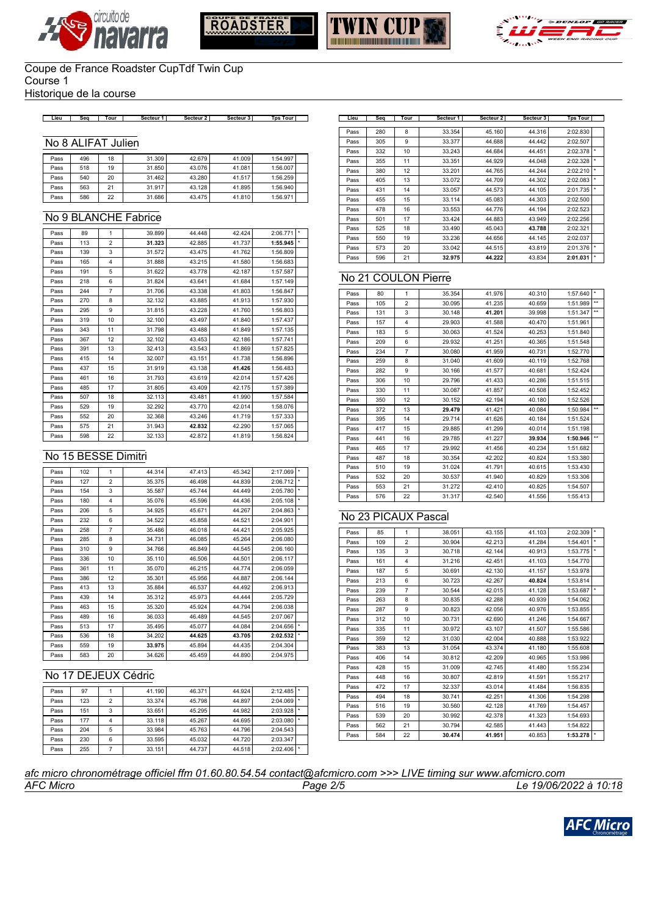







Historique de la course

#### **Lieu Seq Tour Secteur 1 Secteur 2 Secteur 3 Tps Tour Lieu Seq Tour Secteur 1 Secteur 2 Secteur 3 Tps Tour**

#### No 8 ALIFAT Julien

| Pass | 496 | 18 | 31.309 | 42.679 | 41.009 | 1:54.997 |  |
|------|-----|----|--------|--------|--------|----------|--|
| Pass | 518 | 19 | 31.850 | 43.076 | 41.081 | 1:56.007 |  |
| Pass | 540 | 20 | 31.462 | 43.280 | 41.517 | 1:56.259 |  |
| Pass | 563 | 21 | 31.917 | 43.128 | 41.895 | 1:56.940 |  |
| Pass | 586 | 22 | 31.686 | 43.475 | 41.810 | 1:56.971 |  |

### No 9 BLANCHE Fabrice

| Pass | 89  | $\mathbf{1}$   | 39.899 | 44.448 | 42.424 | 2:06.771 | $\star$ |
|------|-----|----------------|--------|--------|--------|----------|---------|
| Pass | 113 | $\overline{2}$ | 31.323 | 42.885 | 41.737 | 1:55.945 | $\star$ |
| Pass | 139 | 3              | 31.572 | 43.475 | 41.762 | 1:56.809 |         |
| Pass | 165 | 4              | 31.888 | 43.215 | 41.580 | 1:56.683 |         |
| Pass | 191 | 5              | 31.622 | 43.778 | 42.187 | 1:57.587 |         |
| Pass | 218 | 6              | 31.824 | 43.641 | 41.684 | 1:57.149 |         |
| Pass | 244 | $\overline{7}$ | 31.706 | 43.338 | 41.803 | 1:56.847 |         |
| Pass | 270 | 8              | 32.132 | 43.885 | 41.913 | 1:57.930 |         |
| Pass | 295 | 9              | 31.815 | 43.228 | 41.760 | 1:56.803 |         |
| Pass | 319 | 10             | 32.100 | 43.497 | 41.840 | 1:57.437 |         |
| Pass | 343 | 11             | 31.798 | 43.488 | 41.849 | 1:57.135 |         |
| Pass | 367 | 12             | 32.102 | 43.453 | 42.186 | 1:57.741 |         |
| Pass | 391 | 13             | 32.413 | 43.543 | 41.869 | 1:57.825 |         |
| Pass | 415 | 14             | 32.007 | 43.151 | 41.738 | 1:56.896 |         |
| Pass | 437 | 15             | 31.919 | 43.138 | 41.426 | 1:56.483 |         |
| Pass | 461 | 16             | 31.793 | 43.619 | 42.014 | 1:57.426 |         |
| Pass | 485 | 17             | 31.805 | 43.409 | 42.175 | 1:57.389 |         |
| Pass | 507 | 18             | 32.113 | 43.481 | 41.990 | 1:57.584 |         |
| Pass | 529 | 19             | 32.292 | 43.770 | 42.014 | 1:58.076 |         |
| Pass | 552 | 20             | 32.368 | 43.246 | 41.719 | 1:57.333 |         |
| Pass | 575 | 21             | 31.943 | 42.832 | 42.290 | 1:57.065 |         |
| Pass | 598 | 22             | 32.133 | 42.872 | 41.819 | 1:56.824 |         |

### No 15 BESSE Dimitri

| Pass | 102 | 1              | 44.314 | 47.413 | 45.342 | 2:17.069 | $\star$ |
|------|-----|----------------|--------|--------|--------|----------|---------|
| Pass | 127 | $\overline{2}$ | 35.375 | 46.498 | 44.839 | 2:06.712 | $\star$ |
| Pass | 154 | 3              | 35.587 | 45.744 | 44.449 | 2:05.780 | $\star$ |
| Pass | 180 | 4              | 35.076 | 45.596 | 44.436 | 2:05.108 | $\star$ |
| Pass | 206 | 5              | 34.925 | 45.671 | 44.267 | 2:04.863 |         |
| Pass | 232 | 6              | 34.522 | 45.858 | 44.521 | 2:04.901 |         |
| Pass | 258 | $\overline{7}$ | 35.486 | 46.018 | 44.421 | 2:05.925 |         |
| Pass | 285 | 8              | 34.731 | 46.085 | 45.264 | 2:06.080 |         |
| Pass | 310 | 9              | 34.766 | 46.849 | 44.545 | 2:06.160 |         |
| Pass | 336 | 10             | 35.110 | 46.506 | 44.501 | 2:06.117 |         |
| Pass | 361 | 11             | 35.070 | 46.215 | 44.774 | 2:06.059 |         |
| Pass | 386 | 12             | 35.301 | 45.956 | 44.887 | 2:06.144 |         |
| Pass | 413 | 13             | 35.884 | 46.537 | 44.492 | 2:06.913 |         |
| Pass | 439 | 14             | 35.312 | 45.973 | 44.444 | 2:05.729 |         |
| Pass | 463 | 15             | 35.320 | 45.924 | 44.794 | 2:06.038 |         |
| Pass | 489 | 16             | 36.033 | 46.489 | 44.545 | 2:07.067 |         |
| Pass | 513 | 17             | 35.495 | 45.077 | 44.084 | 2:04.656 |         |
| Pass | 536 | 18             | 34.202 | 44.625 | 43.705 | 2:02.532 |         |
| Pass | 559 | 19             | 33.975 | 45.894 | 44.435 | 2:04.304 |         |
| Pass | 583 | 20             | 34.626 | 45.459 | 44.890 | 2:04.975 |         |

## No 17 DEJEUX Cédric

| Pass | 97  |   | 41.190 | 46.371 | 44.924 | 2:12.485 |  |
|------|-----|---|--------|--------|--------|----------|--|
| Pass | 123 | 2 | 33.374 | 45.798 | 44.897 | 2:04.069 |  |
| Pass | 151 | 3 | 33.651 | 45.295 | 44.982 | 2:03.928 |  |
| Pass | 177 |   | 33.118 | 45.267 | 44.695 | 2:03.080 |  |
| Pass | 204 | 5 | 33.984 | 45.763 | 44.796 | 2:04.543 |  |
| Pass | 230 | 6 | 33.595 | 45.032 | 44.720 | 2:03.347 |  |
| Pass | 255 |   | 33.151 | 44.737 | 44.518 | 2:02.406 |  |

| Lieu | Seq | Tour | Secteur 1 | Secteur 2 | Secteur 3 | <b>Tps Tour</b> |    |
|------|-----|------|-----------|-----------|-----------|-----------------|----|
|      |     |      |           |           |           |                 |    |
| Pass | 280 | 8    | 33.354    | 45.160    | 44.316    | 2:02.830        |    |
| Pass | 305 | 9    | 33.377    | 44.688    | 44.442    | 2:02.507        |    |
| Pass | 332 | 10   | 33.243    | 44.684    | 44.451    | 2:02.378        |    |
| Pass | 355 | 11   | 33.351    | 44.929    | 44.048    | 2:02.328        | ÷. |
| Pass | 380 | 12   | 33.201    | 44.765    | 44.244    | 2:02.210        | ×  |
| Pass | 405 | 13   | 33.072    | 44.709    | 44.302    | 2:02.083        | ×  |
| Pass | 431 | 14   | 33.057    | 44.573    | 44.105    | 2:01.735        | ×  |
| Pass | 455 | 15   | 33.114    | 45.083    | 44.303    | 2:02.500        |    |
| Pass | 478 | 16   | 33.553    | 44.776    | 44.194    | 2:02.523        |    |
| Pass | 501 | 17   | 33.424    | 44.883    | 43.949    | 2:02.256        |    |
| Pass | 525 | 18   | 33.490    | 45.043    | 43.788    | 2:02.321        |    |
| Pass | 550 | 19   | 33.236    | 44.656    | 44.145    | 2:02.037        |    |
| Pass | 573 | 20   | 33.042    | 44.515    | 43.819    | 2:01.376        | ÷. |
| Pass | 596 | 21   | 32.975    | 44.222    | 43.834    | 2:01.031        | ×  |

### No 21 COULON Pierre

| ÷.<br>80<br>$\mathbf{1}$<br>35.354<br>41.976<br>40.310<br>1:57.640<br>Pass<br>41.235<br>$\overline{2}$<br>30.095<br>40.659<br>1:51.989<br>105<br>Pass<br>1:51.347<br>3<br>30.148<br>41.201<br>39.998<br>131<br>Pass<br>41.588<br>157<br>4<br>29.903<br>40.470<br>1:51.961<br>Pass<br>30.063<br>41.524<br>40.253<br>1:51.840<br>183<br>5<br>Pass<br>41.251<br>40.365<br>209<br>29.932<br>1:51.548<br>6<br>Pass<br>$\overline{7}$<br>41.959<br>234<br>30.080<br>40.731<br>1:52.770<br>Pass<br>8<br>40.119<br>1:52.768<br>31.040<br>41.609<br>259<br>Pass<br>30.166<br>41.577<br>40.681<br>1:52.424<br>282<br>9<br>Pass<br>41.433<br>40.286<br>1:51.515<br>306<br>10<br>29.796<br>Pass<br>30.087<br>41.857<br>40.508<br>1:52.452<br>330<br>11<br>Pass<br>42.194<br>40.180<br>1:52.526<br>350<br>12<br>30.152<br>Pass<br>29.479<br>41.421<br>40.084<br>1:50.984<br>372<br>13<br>Pass<br>395<br>29.714<br>41.626<br>40.184<br>1:51.524<br>14<br>Pass<br>29.885<br>41.299<br>417<br>15<br>40.014<br>1:51.198<br>Pass<br>41.227<br>39.934<br>29.785<br>1:50.946<br>Pass<br>441<br>16<br>40.234<br>29.992<br>41.456<br>1:51.682<br>465<br>17<br>Pass<br>30.354<br>42.202<br>18<br>40.824<br>1:53.380<br>487<br>Pass<br>41.791<br>31.024<br>40.615<br>1:53.430<br>510<br>19<br>Pass<br>532<br>30.537<br>41.940<br>40.829<br>1:53.306<br>20<br>Pass<br>31.272<br>42.410<br>40.825<br>1:54.507<br>553<br>21<br>Pass<br>22<br>31.317<br>1:55.413<br>576<br>42.540<br>41.556<br>Pass |  |  |  |              |
|-------------------------------------------------------------------------------------------------------------------------------------------------------------------------------------------------------------------------------------------------------------------------------------------------------------------------------------------------------------------------------------------------------------------------------------------------------------------------------------------------------------------------------------------------------------------------------------------------------------------------------------------------------------------------------------------------------------------------------------------------------------------------------------------------------------------------------------------------------------------------------------------------------------------------------------------------------------------------------------------------------------------------------------------------------------------------------------------------------------------------------------------------------------------------------------------------------------------------------------------------------------------------------------------------------------------------------------------------------------------------------------------------------------------------------------------------------------------------|--|--|--|--------------|
|                                                                                                                                                                                                                                                                                                                                                                                                                                                                                                                                                                                                                                                                                                                                                                                                                                                                                                                                                                                                                                                                                                                                                                                                                                                                                                                                                                                                                                                                         |  |  |  |              |
|                                                                                                                                                                                                                                                                                                                                                                                                                                                                                                                                                                                                                                                                                                                                                                                                                                                                                                                                                                                                                                                                                                                                                                                                                                                                                                                                                                                                                                                                         |  |  |  | $\star\star$ |
|                                                                                                                                                                                                                                                                                                                                                                                                                                                                                                                                                                                                                                                                                                                                                                                                                                                                                                                                                                                                                                                                                                                                                                                                                                                                                                                                                                                                                                                                         |  |  |  | $\star\star$ |
|                                                                                                                                                                                                                                                                                                                                                                                                                                                                                                                                                                                                                                                                                                                                                                                                                                                                                                                                                                                                                                                                                                                                                                                                                                                                                                                                                                                                                                                                         |  |  |  |              |
|                                                                                                                                                                                                                                                                                                                                                                                                                                                                                                                                                                                                                                                                                                                                                                                                                                                                                                                                                                                                                                                                                                                                                                                                                                                                                                                                                                                                                                                                         |  |  |  |              |
|                                                                                                                                                                                                                                                                                                                                                                                                                                                                                                                                                                                                                                                                                                                                                                                                                                                                                                                                                                                                                                                                                                                                                                                                                                                                                                                                                                                                                                                                         |  |  |  |              |
|                                                                                                                                                                                                                                                                                                                                                                                                                                                                                                                                                                                                                                                                                                                                                                                                                                                                                                                                                                                                                                                                                                                                                                                                                                                                                                                                                                                                                                                                         |  |  |  |              |
|                                                                                                                                                                                                                                                                                                                                                                                                                                                                                                                                                                                                                                                                                                                                                                                                                                                                                                                                                                                                                                                                                                                                                                                                                                                                                                                                                                                                                                                                         |  |  |  |              |
|                                                                                                                                                                                                                                                                                                                                                                                                                                                                                                                                                                                                                                                                                                                                                                                                                                                                                                                                                                                                                                                                                                                                                                                                                                                                                                                                                                                                                                                                         |  |  |  |              |
|                                                                                                                                                                                                                                                                                                                                                                                                                                                                                                                                                                                                                                                                                                                                                                                                                                                                                                                                                                                                                                                                                                                                                                                                                                                                                                                                                                                                                                                                         |  |  |  |              |
|                                                                                                                                                                                                                                                                                                                                                                                                                                                                                                                                                                                                                                                                                                                                                                                                                                                                                                                                                                                                                                                                                                                                                                                                                                                                                                                                                                                                                                                                         |  |  |  |              |
|                                                                                                                                                                                                                                                                                                                                                                                                                                                                                                                                                                                                                                                                                                                                                                                                                                                                                                                                                                                                                                                                                                                                                                                                                                                                                                                                                                                                                                                                         |  |  |  |              |
|                                                                                                                                                                                                                                                                                                                                                                                                                                                                                                                                                                                                                                                                                                                                                                                                                                                                                                                                                                                                                                                                                                                                                                                                                                                                                                                                                                                                                                                                         |  |  |  | $\star\star$ |
|                                                                                                                                                                                                                                                                                                                                                                                                                                                                                                                                                                                                                                                                                                                                                                                                                                                                                                                                                                                                                                                                                                                                                                                                                                                                                                                                                                                                                                                                         |  |  |  |              |
|                                                                                                                                                                                                                                                                                                                                                                                                                                                                                                                                                                                                                                                                                                                                                                                                                                                                                                                                                                                                                                                                                                                                                                                                                                                                                                                                                                                                                                                                         |  |  |  |              |
|                                                                                                                                                                                                                                                                                                                                                                                                                                                                                                                                                                                                                                                                                                                                                                                                                                                                                                                                                                                                                                                                                                                                                                                                                                                                                                                                                                                                                                                                         |  |  |  | $\star\star$ |
|                                                                                                                                                                                                                                                                                                                                                                                                                                                                                                                                                                                                                                                                                                                                                                                                                                                                                                                                                                                                                                                                                                                                                                                                                                                                                                                                                                                                                                                                         |  |  |  |              |
|                                                                                                                                                                                                                                                                                                                                                                                                                                                                                                                                                                                                                                                                                                                                                                                                                                                                                                                                                                                                                                                                                                                                                                                                                                                                                                                                                                                                                                                                         |  |  |  |              |
|                                                                                                                                                                                                                                                                                                                                                                                                                                                                                                                                                                                                                                                                                                                                                                                                                                                                                                                                                                                                                                                                                                                                                                                                                                                                                                                                                                                                                                                                         |  |  |  |              |
|                                                                                                                                                                                                                                                                                                                                                                                                                                                                                                                                                                                                                                                                                                                                                                                                                                                                                                                                                                                                                                                                                                                                                                                                                                                                                                                                                                                                                                                                         |  |  |  |              |
|                                                                                                                                                                                                                                                                                                                                                                                                                                                                                                                                                                                                                                                                                                                                                                                                                                                                                                                                                                                                                                                                                                                                                                                                                                                                                                                                                                                                                                                                         |  |  |  |              |
|                                                                                                                                                                                                                                                                                                                                                                                                                                                                                                                                                                                                                                                                                                                                                                                                                                                                                                                                                                                                                                                                                                                                                                                                                                                                                                                                                                                                                                                                         |  |  |  |              |

### No 23 PICAUX Pascal

| Pass | 85  | 1              | 38.051 | 43.155 | 41.103 | 2:02.309 | ÷  |
|------|-----|----------------|--------|--------|--------|----------|----|
| Pass | 109 | $\overline{2}$ | 30.904 | 42.213 | 41.284 | 1:54.401 | ×  |
| Pass | 135 | 3              | 30.718 | 42.144 | 40.913 | 1:53.775 | ÷  |
| Pass | 161 | 4              | 31.216 | 42.451 | 41.103 | 1:54.770 |    |
| Pass | 187 | 5              | 30.691 | 42.130 | 41.157 | 1:53.978 |    |
| Pass | 213 | 6              | 30.723 | 42.267 | 40.824 | 1:53.814 |    |
| Pass | 239 | $\overline{7}$ | 30.544 | 42.015 | 41.128 | 1:53.687 | ÷. |
| Pass | 263 | 8              | 30.835 | 42.288 | 40.939 | 1:54.062 |    |
| Pass | 287 | 9              | 30.823 | 42.056 | 40.976 | 1:53.855 |    |
| Pass | 312 | 10             | 30.731 | 42.690 | 41.246 | 1:54.667 |    |
| Pass | 335 | 11             | 30.972 | 43.107 | 41.507 | 1:55.586 |    |
| Pass | 359 | 12             | 31.030 | 42.004 | 40.888 | 1:53.922 |    |
| Pass | 383 | 13             | 31.054 | 43.374 | 41.180 | 1:55.608 |    |
| Pass | 406 | 14             | 30.812 | 42.209 | 40.965 | 1:53.986 |    |
| Pass | 428 | 15             | 31.009 | 42.745 | 41.480 | 1:55.234 |    |
| Pass | 448 | 16             | 30.807 | 42.819 | 41.591 | 1:55.217 |    |
| Pass | 472 | 17             | 32.337 | 43.014 | 41.484 | 1:56.835 |    |
| Pass | 494 | 18             | 30.741 | 42.251 | 41.306 | 1:54.298 |    |
| Pass | 516 | 19             | 30.560 | 42.128 | 41.769 | 1:54.457 |    |
| Pass | 539 | 20             | 30.992 | 42.378 | 41.323 | 1:54.693 |    |
| Pass | 562 | 21             | 30.794 | 42.585 | 41.443 | 1:54.822 |    |
| Pass | 584 | 22             | 30.474 | 41.951 | 40.853 | 1:53.278 |    |

*AFC Micro Page 2/5 Le 19/06/2022 à 10:18 afc micro chronométrage officiel ffm 01.60.80.54.54 contact@afcmicro.com >>> LIVE timing sur www.afcmicro.com*

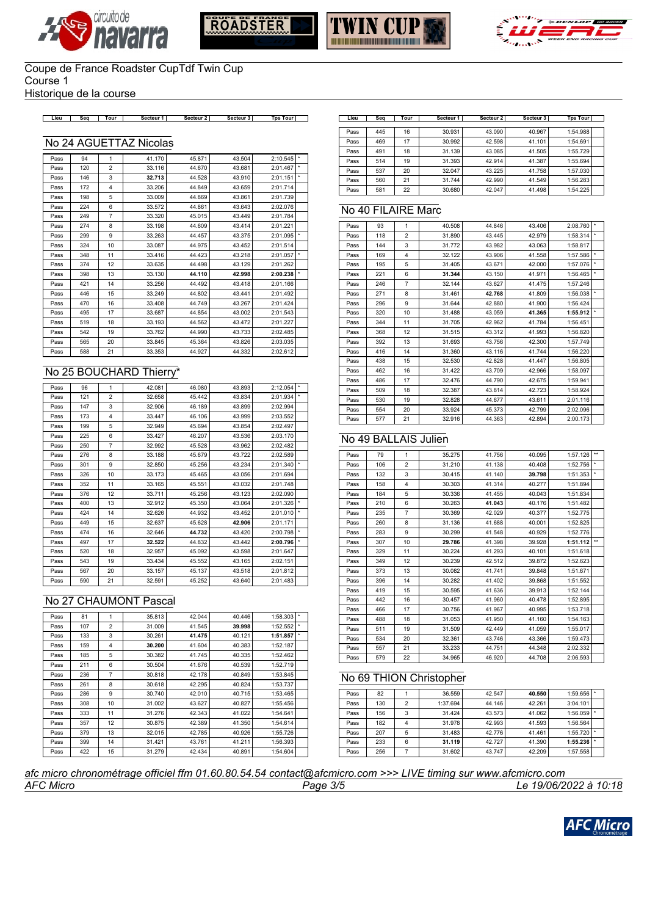







Historique de la course

**Lieu Seq Tour Secteur 1 Secteur 2 Secteur 3 Tps Tour Lieu Seq Tour Secteur 1 Secteur 2 Secteur 3 Tps Tour**

### No 24 AGUETTAZ Nicolas

| Pass | 94  | 1                       | 41.170 | 45.871 | 43.504 | 2:10.545 | $\star$ |
|------|-----|-------------------------|--------|--------|--------|----------|---------|
| Pass | 120 | $\overline{2}$          | 33.116 | 44.670 | 43.681 | 2:01.467 | $\star$ |
| Pass | 146 | 3                       | 32.713 | 44.528 | 43.910 | 2:01.151 | $\star$ |
| Pass | 172 | $\overline{\mathbf{4}}$ | 33.206 | 44.849 | 43.659 | 2:01.714 |         |
| Pass | 198 | 5                       | 33.009 | 44.869 | 43.861 | 2:01.739 |         |
| Pass | 224 | 6                       | 33.572 | 44.861 | 43.643 | 2:02.076 |         |
| Pass | 249 | $\overline{7}$          | 33.320 | 45.015 | 43.449 | 2:01.784 |         |
| Pass | 274 | 8                       | 33.198 | 44.609 | 43.414 | 2:01.221 |         |
| Pass | 299 | 9                       | 33.263 | 44.457 | 43.375 | 2:01.095 | $\star$ |
| Pass | 324 | 10                      | 33.087 | 44.975 | 43.452 | 2:01.514 |         |
| Pass | 348 | 11                      | 33.416 | 44.423 | 43.218 | 2:01.057 | $\star$ |
| Pass | 374 | 12                      | 33.635 | 44.498 | 43.129 | 2:01.262 |         |
| Pass | 398 | 13                      | 33.130 | 44.110 | 42.998 | 2:00.238 |         |
| Pass | 421 | 14                      | 33.256 | 44.492 | 43.418 | 2:01.166 |         |
| Pass | 446 | 15                      | 33.249 | 44.802 | 43.441 | 2:01.492 |         |
| Pass | 470 | 16                      | 33,408 | 44.749 | 43.267 | 2:01.424 |         |
| Pass | 495 | 17                      | 33.687 | 44.854 | 43.002 | 2:01.543 |         |
| Pass | 519 | 18                      | 33.193 | 44.562 | 43.472 | 2:01.227 |         |
| Pass | 542 | 19                      | 33.762 | 44.990 | 43.733 | 2:02.485 |         |
| Pass | 565 | 20                      | 33.845 | 45.364 | 43.826 | 2:03.035 |         |
| Pass | 588 | 21                      | 33.353 | 44.927 | 44.332 | 2:02.612 |         |

### No 25 BOUCHARD Thierry\*

| Pass | 96  | 1              | 42.081 | 46.080 | 43.893 | 2:12.054 | $\star$ |
|------|-----|----------------|--------|--------|--------|----------|---------|
| Pass | 121 | $\overline{2}$ | 32.658 | 45.442 | 43.834 | 2:01.934 | $\star$ |
| Pass | 147 | 3              | 32.906 | 46.189 | 43.899 | 2:02.994 |         |
| Pass | 173 | $\overline{4}$ | 33.447 | 46.106 | 43.999 | 2:03.552 |         |
| Pass | 199 | 5              | 32.949 | 45.694 | 43.854 | 2:02.497 |         |
| Pass | 225 | 6              | 33.427 | 46.207 | 43.536 | 2:03.170 |         |
| Pass | 250 | $\overline{7}$ | 32.992 | 45.528 | 43.962 | 2:02.482 |         |
| Pass | 276 | 8              | 33.188 | 45.679 | 43.722 | 2:02.589 |         |
| Pass | 301 | 9              | 32.850 | 45.256 | 43.234 | 2:01.340 | $\star$ |
| Pass | 326 | 10             | 33.173 | 45.465 | 43.056 | 2:01.694 |         |
| Pass | 352 | 11             | 33.165 | 45.551 | 43.032 | 2:01.748 |         |
| Pass | 376 | 12             | 33.711 | 45.256 | 43.123 | 2:02.090 |         |
| Pass | 400 | 13             | 32.912 | 45.350 | 43.064 | 2:01.326 |         |
| Pass | 424 | 14             | 32.626 | 44.932 | 43.452 | 2:01.010 | $\star$ |
| Pass | 449 | 15             | 32.637 | 45.628 | 42.906 | 2:01.171 |         |
| Pass | 474 | 16             | 32.646 | 44.732 | 43.420 | 2:00.798 |         |
| Pass | 497 | 17             | 32.522 | 44.832 | 43.442 | 2:00.796 |         |
| Pass | 520 | 18             | 32.957 | 45.092 | 43.598 | 2:01.647 |         |
| Pass | 543 | 19             | 33.434 | 45.552 | 43.165 | 2:02.151 |         |
| Pass | 567 | 20             | 33.157 | 45.137 | 43.518 | 2:01.812 |         |
| Pass | 590 | 21             | 32.591 | 45.252 | 43.640 | 2:01.483 |         |

#### No 27 CHAUMONT Pascal

| Pass | 81  | 1              | 35.813 | 42.044 | 40.446 | 1:58.303 |         |
|------|-----|----------------|--------|--------|--------|----------|---------|
| Pass | 107 | $\overline{2}$ | 31,009 | 41.545 | 39.998 | 1:52.552 | $\star$ |
| Pass | 133 | 3              | 30.261 | 41.475 | 40.121 | 1:51.857 |         |
| Pass | 159 | $\overline{4}$ | 30.200 | 41.604 | 40.383 | 1:52.187 |         |
| Pass | 185 | 5              | 30.382 | 41.745 | 40.335 | 1:52.462 |         |
| Pass | 211 | 6              | 30.504 | 41.676 | 40.539 | 1:52.719 |         |
| Pass | 236 | $\overline{7}$ | 30.818 | 42.178 | 40.849 | 1:53.845 |         |
| Pass | 261 | 8              | 30.618 | 42.295 | 40.824 | 1:53.737 |         |
| Pass | 286 | 9              | 30.740 | 42.010 | 40.715 | 1:53.465 |         |
| Pass | 308 | 10             | 31.002 | 43.627 | 40.827 | 1:55.456 |         |
| Pass | 333 | 11             | 31.276 | 42.343 | 41.022 | 1:54.641 |         |
| Pass | 357 | 12             | 30.875 | 42.389 | 41.350 | 1:54.614 |         |
| Pass | 379 | 13             | 32.015 | 42.785 | 40.926 | 1:55.726 |         |
| Pass | 399 | 14             | 31.421 | 43.761 | 41.211 | 1:56.393 |         |
| Pass | 422 | 15             | 31.279 | 42.434 | 40.891 | 1:54.604 |         |

| Lieu | Sea | Tour | Secteur 1 | Secteur 2 | Secteur 3 | <b>Tps Tour</b> |  |
|------|-----|------|-----------|-----------|-----------|-----------------|--|
|      |     |      |           |           |           |                 |  |
| Pass | 445 | 16   | 30.931    | 43.090    | 40.967    | 1:54.988        |  |
| Pass | 469 | 17   | 30.992    | 42.598    | 41.101    | 1:54.691        |  |
| Pass | 491 | 18   | 31.139    | 43.085    | 41.505    | 1:55.729        |  |
| Pass | 514 | 19   | 31.393    | 42.914    | 41.387    | 1:55.694        |  |
| Pass | 537 | 20   | 32.047    | 43.225    | 41.758    | 1:57.030        |  |
| Pass | 560 | 21   | 31.744    | 42.990    | 41.549    | 1:56.283        |  |
| Pass | 581 | 22   | 30.680    | 42.047    | 41.498    | 1:54.225        |  |

#### No 40 FILAIRE Marc

| Pass | 93  | $\mathbf{1}$            | 40.508 | 44.846 | 43.406 | 2:08.760 | ×       |
|------|-----|-------------------------|--------|--------|--------|----------|---------|
| Pass | 118 | $\overline{2}$          | 31.890 | 43.445 | 42.979 | 1:58.314 | ×       |
| Pass | 144 | 3                       | 31.772 | 43.982 | 43.063 | 1:58.817 |         |
| Pass | 169 | $\overline{\mathbf{4}}$ | 32.122 | 43.906 | 41.558 | 1:57.586 | ÷       |
| Pass | 195 | 5                       | 31.405 | 43.671 | 42.000 | 1:57.076 | $\star$ |
| Pass | 221 | 6                       | 31.344 | 43.150 | 41.971 | 1:56.465 | $\star$ |
| Pass | 246 | $\overline{7}$          | 32.144 | 43.627 | 41.475 | 1:57.246 |         |
| Pass | 271 | 8                       | 31.461 | 42.768 | 41.809 | 1:56.038 | $\star$ |
| Pass | 296 | 9                       | 31.644 | 42.880 | 41.900 | 1:56.424 |         |
| Pass | 320 | 10                      | 31.488 | 43.059 | 41.365 | 1:55.912 | ×       |
| Pass | 344 | 11                      | 31.705 | 42.962 | 41.784 | 1:56.451 |         |
| Pass | 368 | 12                      | 31.515 | 43.312 | 41.993 | 1:56.820 |         |
| Pass | 392 | 13                      | 31.693 | 43.756 | 42.300 | 1:57.749 |         |
| Pass | 416 | 14                      | 31.360 | 43.116 | 41.744 | 1:56.220 |         |
| Pass | 438 | 15                      | 32.530 | 42.828 | 41.447 | 1:56.805 |         |
| Pass | 462 | 16                      | 31.422 | 43.709 | 42.966 | 1:58.097 |         |
| Pass | 486 | 17                      | 32.476 | 44.790 | 42.675 | 1:59.941 |         |
| Pass | 509 | 18                      | 32.387 | 43.814 | 42.723 | 1:58.924 |         |
| Pass | 530 | 19                      | 32.828 | 44.677 | 43.611 | 2:01.116 |         |
| Pass | 554 | 20                      | 33.924 | 45.373 | 42.799 | 2:02.096 |         |
| Pass | 577 | 21                      | 32.916 | 44.363 | 42.894 | 2:00.173 |         |

## No 49 BALLAIS Julien

| Pass | 79  | 1                       | 35.275 | 41.756 | 40.095 | 1:57.126 | $\star\star$ |
|------|-----|-------------------------|--------|--------|--------|----------|--------------|
| Pass | 106 | $\overline{2}$          | 31.210 | 41.138 | 40.408 | 1:52.756 | ÷            |
| Pass | 132 | 3                       | 30.415 | 41.140 | 39.798 | 1:51.353 | $\star$      |
| Pass | 158 | $\overline{\mathbf{4}}$ | 30.303 | 41.314 | 40.277 | 1:51.894 |              |
| Pass | 184 | 5                       | 30.336 | 41.455 | 40.043 | 1:51.834 |              |
| Pass | 210 | 6                       | 30.263 | 41.043 | 40.176 | 1:51.482 |              |
| Pass | 235 | $\overline{7}$          | 30.369 | 42.029 | 40.377 | 1:52.775 |              |
| Pass | 260 | 8                       | 31.136 | 41.688 | 40.001 | 1:52.825 |              |
| Pass | 283 | 9                       | 30.299 | 41.548 | 40.929 | 1:52.776 |              |
| Pass | 307 | 10                      | 29.786 | 41.398 | 39.928 | 1:51.112 | $\star\star$ |
| Pass | 329 | 11                      | 30.224 | 41.293 | 40.101 | 1:51.618 |              |
| Pass | 349 | 12                      | 30.239 | 42.512 | 39.872 | 1:52.623 |              |
| Pass | 373 | 13                      | 30.082 | 41.741 | 39.848 | 1:51.671 |              |
| Pass | 396 | 14                      | 30.282 | 41.402 | 39.868 | 1:51.552 |              |
| Pass | 419 | 15                      | 30.595 | 41.636 | 39.913 | 1:52.144 |              |
| Pass | 442 | 16                      | 30.457 | 41.960 | 40.478 | 1:52.895 |              |
| Pass | 466 | 17                      | 30.756 | 41.967 | 40.995 | 1:53.718 |              |
| Pass | 488 | 18                      | 31.053 | 41.950 | 41.160 | 1:54.163 |              |
| Pass | 511 | 19                      | 31.509 | 42.449 | 41.059 | 1:55.017 |              |
| Pass | 534 | 20                      | 32.361 | 43.746 | 43.366 | 1:59.473 |              |
| Pass | 557 | 21                      | 33.233 | 44.751 | 44.348 | 2:02.332 |              |
| Pass | 579 | 22                      | 34.965 | 46.920 | 44.708 | 2:06.593 |              |

### No 69 THION Christopher

| Pass | 82  |   | 36.559   | 42.547 | 40.550 | 1:59.656 |  |
|------|-----|---|----------|--------|--------|----------|--|
| Pass | 130 | 2 | 1:37.694 | 44.146 | 42.261 | 3:04.101 |  |
| Pass | 156 | 3 | 31.424   | 43.573 | 41.062 | 1:56.059 |  |
| Pass | 182 |   | 31.978   | 42.993 | 41.593 | 1:56.564 |  |
| Pass | 207 | 5 | 31.483   | 42.776 | 41.461 | 1:55.720 |  |
| Pass | 233 | 6 | 31.119   | 42.727 | 41.390 | 1:55.236 |  |
| Pass | 256 |   | 31.602   | 43.747 | 42.209 | 1:57.558 |  |

*AFC Micro Page 3/5 Le 19/06/2022 à 10:18 afc micro chronométrage officiel ffm 01.60.80.54.54 contact@afcmicro.com >>> LIVE timing sur www.afcmicro.com*

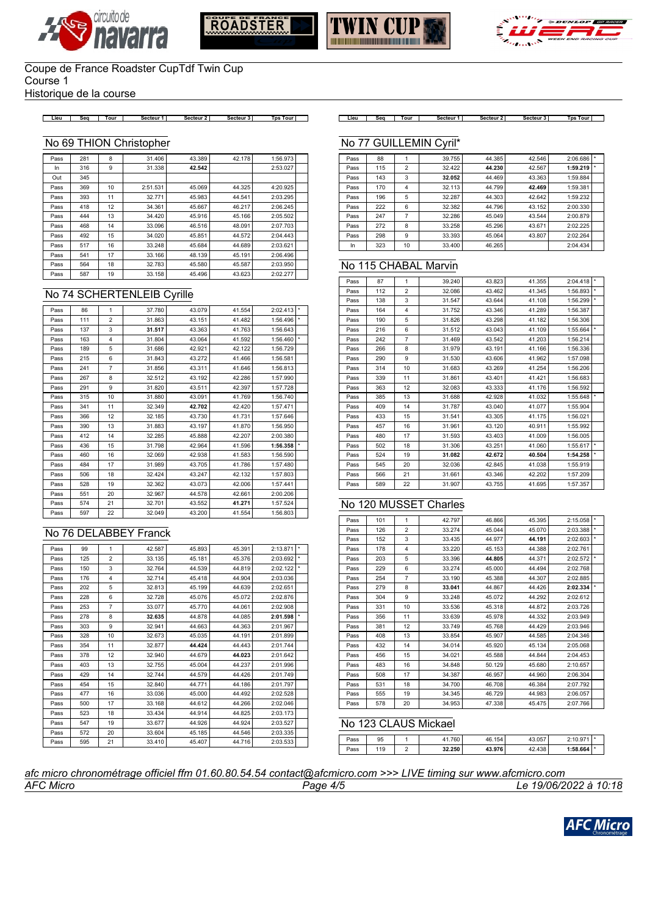







Historique de la course

**Lieu Seq Tour Secteur 1 Secteur 2 Secteur 3 Tps Tour Lieu Seq Tour Secteur 1 Secteur 2 Secteur 3 Tps Tour**

### No 69 THION Christopher

| Pass | 281 | 8  | 31,406   | 43.389 | 42.178 | 1:56.973 |  |
|------|-----|----|----------|--------|--------|----------|--|
| In.  | 316 | 9  | 31.338   | 42.542 |        | 2:53.027 |  |
| Out  | 345 |    |          |        |        |          |  |
| Pass | 369 | 10 | 2:51.531 | 45.069 | 44.325 | 4:20.925 |  |
| Pass | 393 | 11 | 32.771   | 45.983 | 44.541 | 2:03.295 |  |
| Pass | 418 | 12 | 34.361   | 45.667 | 46.217 | 2:06.245 |  |
| Pass | 444 | 13 | 34.420   | 45.916 | 45.166 | 2:05.502 |  |
| Pass | 468 | 14 | 33.096   | 46.516 | 48.091 | 2:07.703 |  |
| Pass | 492 | 15 | 34.020   | 45.851 | 44.572 | 2:04.443 |  |
| Pass | 517 | 16 | 33.248   | 45.684 | 44.689 | 2:03.621 |  |
| Pass | 541 | 17 | 33.166   | 48.139 | 45.191 | 2:06.496 |  |
| Pass | 564 | 18 | 32.783   | 45.580 | 45.587 | 2:03.950 |  |
| Pass | 587 | 19 | 33.158   | 45.496 | 43.623 | 2:02.277 |  |

### No 74 SCHERTENLEIB Cyrille

| Pass | 86  | 1                       | 37.780 | 43.079 | 41.554 | 2:02.413 |         |
|------|-----|-------------------------|--------|--------|--------|----------|---------|
| Pass | 111 | $\overline{2}$          | 31.863 | 43.151 | 41.482 | 1:56.496 |         |
| Pass | 137 | 3                       | 31.517 | 43.363 | 41.763 | 1:56.643 |         |
| Pass | 163 | $\overline{\mathbf{4}}$ | 31.804 | 43.064 | 41.592 | 1:56.460 |         |
| Pass | 189 | 5                       | 31.686 | 42.921 | 42.122 | 1:56.729 |         |
| Pass | 215 | 6                       | 31.843 | 43.272 | 41.466 | 1:56.581 |         |
| Pass | 241 | $\overline{7}$          | 31.856 | 43.311 | 41.646 | 1:56.813 |         |
| Pass | 267 | 8                       | 32.512 | 43.192 | 42.286 | 1:57.990 |         |
| Pass | 291 | 9                       | 31.820 | 43.511 | 42.397 | 1:57.728 |         |
| Pass | 315 | 10                      | 31.880 | 43.091 | 41.769 | 1:56.740 |         |
| Pass | 341 | 11                      | 32.349 | 42.702 | 42.420 | 1:57.471 |         |
| Pass | 366 | 12                      | 32.185 | 43.730 | 41.731 | 1:57.646 |         |
| Pass | 390 | 13                      | 31.883 | 43.197 | 41.870 | 1:56.950 |         |
| Pass | 412 | 14                      | 32.285 | 45.888 | 42.207 | 2:00.380 |         |
| Pass | 436 | 15                      | 31.798 | 42.964 | 41.596 | 1:56.358 | $\star$ |
| Pass | 460 | 16                      | 32.069 | 42.938 | 41.583 | 1:56.590 |         |
| Pass | 484 | 17                      | 31.989 | 43.705 | 41.786 | 1:57.480 |         |
| Pass | 506 | 18                      | 32.424 | 43.247 | 42.132 | 1:57.803 |         |
| Pass | 528 | 19                      | 32.362 | 43.073 | 42.006 | 1:57.441 |         |
| Pass | 551 | 20                      | 32.967 | 44.578 | 42.661 | 2:00.206 |         |
| Pass | 574 | 21                      | 32.701 | 43.552 | 41.271 | 1:57.524 |         |
| Pass | 597 | 22                      | 32.049 | 43.200 | 41.554 | 1:56.803 |         |

### No 76 DELABBEY Franck

| Pass | 99  | 1              | 42.587 | 45.893 | 45.391 | 2:13.871 | *       |
|------|-----|----------------|--------|--------|--------|----------|---------|
| Pass | 125 | $\overline{2}$ | 33.135 | 45.181 | 45.376 | 2:03.692 | $\star$ |
| Pass | 150 | 3              | 32.764 | 44.539 | 44.819 | 2:02.122 | *       |
| Pass | 176 | 4              | 32.714 | 45.418 | 44.904 | 2:03.036 |         |
| Pass | 202 | 5              | 32.813 | 45.199 | 44.639 | 2:02.651 |         |
| Pass | 228 | 6              | 32.728 | 45.076 | 45.072 | 2:02.876 |         |
| Pass | 253 | $\overline{7}$ | 33.077 | 45.770 | 44.061 | 2:02.908 |         |
| Pass | 278 | 8              | 32.635 | 44.878 | 44.085 | 2:01.598 | $\star$ |
| Pass | 303 | 9              | 32.941 | 44.663 | 44.363 | 2:01.967 |         |
| Pass | 328 | 10             | 32.673 | 45.035 | 44.191 | 2:01.899 |         |
| Pass | 354 | 11             | 32.877 | 44.424 | 44.443 | 2:01.744 |         |
| Pass | 378 | 12             | 32.940 | 44.679 | 44.023 | 2:01.642 |         |
| Pass | 403 | 13             | 32.755 | 45.004 | 44.237 | 2:01.996 |         |
| Pass | 429 | 14             | 32.744 | 44.579 | 44.426 | 2:01.749 |         |
| Pass | 454 | 15             | 32.840 | 44.771 | 44.186 | 2:01.797 |         |
| Pass | 477 | 16             | 33.036 | 45.000 | 44.492 | 2:02.528 |         |
| Pass | 500 | 17             | 33.168 | 44.612 | 44.266 | 2:02.046 |         |
| Pass | 523 | 18             | 33.434 | 44.914 | 44.825 | 2:03.173 |         |
| Pass | 547 | 19             | 33.677 | 44.926 | 44.924 | 2:03.527 |         |
| Pass | 572 | 20             | 33.604 | 45.185 | 44.546 | 2:03.335 |         |
| Pass | 595 | 21             | 33.410 | 45.407 | 44.716 | 2:03.533 |         |

#### No 77 GUILLEMIN Cyril\*

| Pass | 88  |                | 39.755 | 44.385 | 42.546 | 2:06.686 |  |
|------|-----|----------------|--------|--------|--------|----------|--|
| Pass | 115 | $\overline{2}$ | 32.422 | 44.230 | 42.567 | 1:59.219 |  |
| Pass | 143 | 3              | 32.052 | 44.469 | 43.363 | 1:59.884 |  |
| Pass | 170 | 4              | 32.113 | 44.799 | 42.469 | 1:59.381 |  |
| Pass | 196 | 5              | 32.287 | 44.303 | 42.642 | 1:59.232 |  |
| Pass | 222 | 6              | 32.382 | 44.796 | 43.152 | 2:00.330 |  |
| Pass | 247 | 7              | 32.286 | 45.049 | 43.544 | 2:00.879 |  |
| Pass | 272 | 8              | 33.258 | 45.296 | 43.671 | 2:02.225 |  |
| Pass | 298 | 9              | 33.393 | 45.064 | 43.807 | 2:02.264 |  |
| In   | 323 | 10             | 33.400 | 46.265 |        | 2:04.434 |  |

#### No 115 CHABAL Marvin

| Pass | 87  | 1              | 39.240 | 43.823 | 41.355 | 2:04.418 |    |
|------|-----|----------------|--------|--------|--------|----------|----|
| Pass | 112 | $\overline{2}$ | 32.086 | 43.462 | 41.345 | 1:56.893 | ÷  |
| Pass | 138 | 3              | 31.547 | 43.644 | 41.108 | 1:56.299 | ×  |
| Pass | 164 | 4              | 31.752 | 43.346 | 41.289 | 1:56.387 |    |
| Pass | 190 | 5              | 31.826 | 43.298 | 41.182 | 1:56.306 |    |
| Pass | 216 | 6              | 31.512 | 43.043 | 41.109 | 1:55.664 | ×  |
| Pass | 242 | $\overline{7}$ | 31.469 | 43.542 | 41.203 | 1:56.214 |    |
| Pass | 266 | 8              | 31.979 | 43.191 | 41.166 | 1:56.336 |    |
| Pass | 290 | 9              | 31.530 | 43.606 | 41.962 | 1:57.098 |    |
| Pass | 314 | 10             | 31.683 | 43.269 | 41.254 | 1:56.206 |    |
| Pass | 339 | 11             | 31.861 | 43.401 | 41.421 | 1:56.683 |    |
| Pass | 363 | 12             | 32.083 | 43.333 | 41.176 | 1:56.592 |    |
| Pass | 385 | 13             | 31.688 | 42.928 | 41.032 | 1:55.648 | ÷. |
| Pass | 409 | 14             | 31.787 | 43.040 | 41.077 | 1:55.904 |    |
| Pass | 433 | 15             | 31.541 | 43.305 | 41.175 | 1:56.021 |    |
| Pass | 457 | 16             | 31.961 | 43.120 | 40.911 | 1:55.992 |    |
| Pass | 480 | 17             | 31.593 | 43.403 | 41.009 | 1:56.005 |    |
| Pass | 502 | 18             | 31.306 | 43.251 | 41.060 | 1:55.617 | ×  |
| Pass | 524 | 19             | 31.082 | 42.672 | 40.504 | 1:54.258 | ×  |
| Pass | 545 | 20             | 32.036 | 42.845 | 41.038 | 1:55.919 |    |
| Pass | 566 | 21             | 31.661 | 43.346 | 42.202 | 1:57.209 |    |
| Pass | 589 | 22             | 31.907 | 43.755 | 41.695 | 1:57.357 |    |
|      |     |                |        |        |        |          |    |

#### No 120 MUSSET Charles

| Pass | 101 | 1              | 42.797 | 46.866 | 45.395 | 2:15.058 | ×       |
|------|-----|----------------|--------|--------|--------|----------|---------|
| Pass | 126 | 2              | 33.274 | 45.044 | 45.070 | 2:03.388 |         |
| Pass | 152 | 3              | 33.435 | 44.977 | 44.191 | 2:02.603 | $\star$ |
| Pass | 178 | 4              | 33.220 | 45.153 | 44.388 | 2:02.761 |         |
| Pass | 203 | 5              | 33.396 | 44.805 | 44.371 | 2:02.572 |         |
| Pass | 229 | 6              | 33.274 | 45.000 | 44.494 | 2:02.768 |         |
| Pass | 254 | $\overline{7}$ | 33.190 | 45.388 | 44.307 | 2:02.885 |         |
| Pass | 279 | 8              | 33.041 | 44.867 | 44.426 | 2:02.334 |         |
| Pass | 304 | 9              | 33.248 | 45.072 | 44.292 | 2:02.612 |         |
| Pass | 331 | 10             | 33.536 | 45.318 | 44.872 | 2:03.726 |         |
| Pass | 356 | 11             | 33.639 | 45.978 | 44.332 | 2:03.949 |         |
| Pass | 381 | 12             | 33.749 | 45.768 | 44.429 | 2:03.946 |         |
| Pass | 408 | 13             | 33.854 | 45.907 | 44.585 | 2:04.346 |         |
| Pass | 432 | 14             | 34.014 | 45.920 | 45.134 | 2:05.068 |         |
| Pass | 456 | 15             | 34.021 | 45.588 | 44.844 | 2:04.453 |         |
| Pass | 483 | 16             | 34.848 | 50.129 | 45.680 | 2:10.657 |         |
| Pass | 508 | 17             | 34.387 | 46.957 | 44.960 | 2:06.304 |         |
| Pass | 531 | 18             | 34.700 | 46.708 | 46.384 | 2:07.792 |         |
| Pass | 555 | 19             | 34.345 | 46.729 | 44.983 | 2:06.057 |         |
| Pass | 578 | 20             | 34.953 | 47.338 | 45.475 | 2:07.766 |         |

## No 123 CLAUS Mickael

| $P$ ass | 95  | 760    | 154<br>46       | 43.057                      | 2.10.071<br>1 U.J |  |
|---------|-----|--------|-----------------|-----------------------------|-------------------|--|
| $P$ ass | 119 | 32.250 | 42 Q76<br>45.97 | 120<br>$\sqrt{2}$<br>72.TJU | $1:58.664$ $*$    |  |

*AFC Micro Page 4/5 Le 19/06/2022 à 10:18 afc micro chronométrage officiel ffm 01.60.80.54.54 contact@afcmicro.com >>> LIVE timing sur www.afcmicro.com*